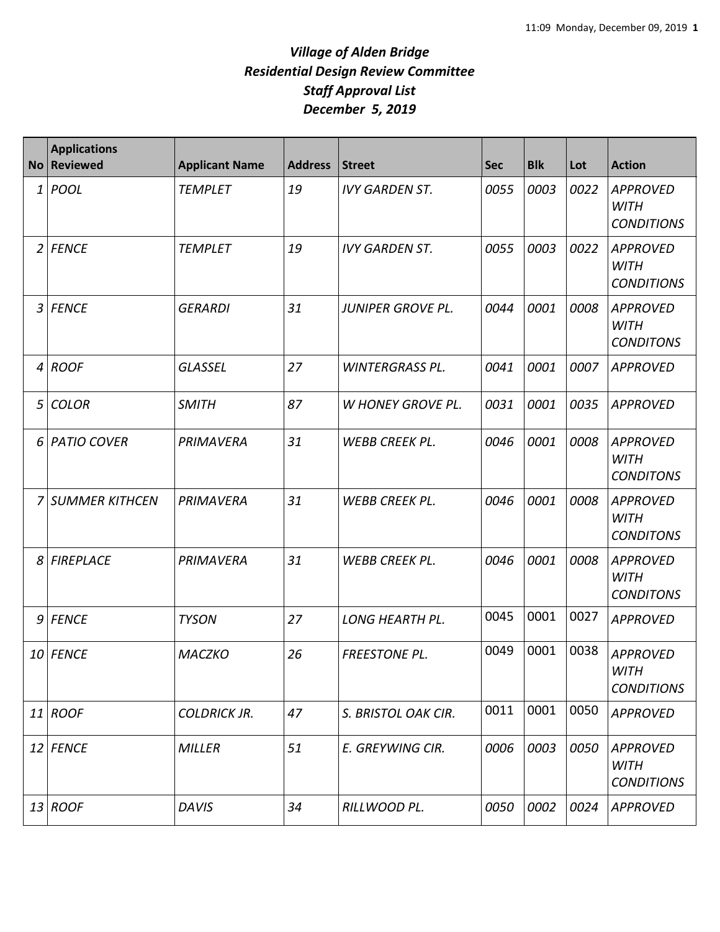| <b>No</b>      | <b>Applications</b><br>Reviewed | <b>Applicant Name</b> | <b>Address</b> | Street                   | <b>Sec</b> | <b>Blk</b> | Lot  | <b>Action</b>                                       |
|----------------|---------------------------------|-----------------------|----------------|--------------------------|------------|------------|------|-----------------------------------------------------|
| 1              | POOL                            | <b>TEMPLET</b>        | 19             | <b>IVY GARDEN ST.</b>    | 0055       | 0003       | 0022 | <b>APPROVED</b><br><b>WITH</b><br><b>CONDITIONS</b> |
| $\overline{2}$ | <b>FENCE</b>                    | <b>TEMPLET</b>        | 19             | <b>IVY GARDEN ST.</b>    | 0055       | 0003       | 0022 | <b>APPROVED</b><br><b>WITH</b><br><b>CONDITIONS</b> |
| 3              | <b>FENCE</b>                    | <b>GERARDI</b>        | 31             | <b>JUNIPER GROVE PL.</b> | 0044       | 0001       | 0008 | <b>APPROVED</b><br><b>WITH</b><br><b>CONDITONS</b>  |
| $\overline{4}$ | <b>ROOF</b>                     | <b>GLASSEL</b>        | 27             | <b>WINTERGRASS PL.</b>   | 0041       | 0001       | 0007 | <b>APPROVED</b>                                     |
| 5              | <b>COLOR</b>                    | <b>SMITH</b>          | 87             | <b>W HONEY GROVE PL.</b> | 0031       | 0001       | 0035 | <b>APPROVED</b>                                     |
| 6              | <b>PATIO COVER</b>              | PRIMAVERA             | 31             | WEBB CREEK PL.           | 0046       | 0001       | 0008 | <b>APPROVED</b><br><b>WITH</b><br><b>CONDITONS</b>  |
| 7              | <b>SUMMER KITHCEN</b>           | PRIMAVERA             | 31             | <b>WEBB CREEK PL.</b>    | 0046       | 0001       | 0008 | <b>APPROVED</b><br><b>WITH</b><br><b>CONDITONS</b>  |
| 8              | <b>FIREPLACE</b>                | PRIMAVERA             | 31             | WEBB CREEK PL.           | 0046       | 0001       | 0008 | <b>APPROVED</b><br><b>WITH</b><br><b>CONDITONS</b>  |
| 9              | <b>FENCE</b>                    | <b>TYSON</b>          | 27             | <b>LONG HEARTH PL.</b>   | 0045       | 0001       | 0027 | <b>APPROVED</b>                                     |
| 10             | <b>FENCE</b>                    | <b>MACZKO</b>         | 26             | <b>FREESTONE PL.</b>     | 0049       | 0001       | 0038 | <b>APPROVED</b><br><b>WITH</b><br><b>CONDITIONS</b> |
|                | $11$ ROOF                       | <b>COLDRICK JR.</b>   | 47             | S. BRISTOL OAK CIR.      | 0011       | 0001       | 0050 | <b>APPROVED</b>                                     |
|                | 12 FENCE                        | <b>MILLER</b>         | 51             | E. GREYWING CIR.         | 0006       | 0003       | 0050 | <b>APPROVED</b><br><b>WITH</b><br><b>CONDITIONS</b> |
|                | $13$ ROOF                       | <b>DAVIS</b>          | 34             | RILLWOOD PL.             | 0050       | 0002       | 0024 | <b>APPROVED</b>                                     |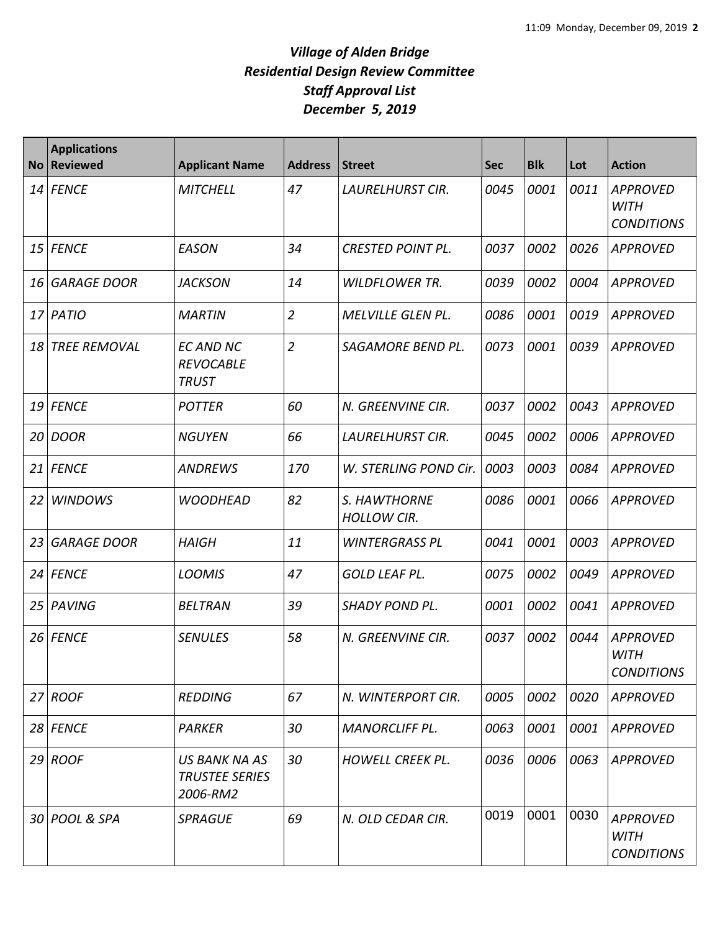| <b>No</b> | <b>Applications</b><br><b>Reviewed</b> | <b>Applicant Name</b>                                | <b>Address</b> | Street                             | <b>Sec</b> | <b>Blk</b> | Lot  | <b>Action</b>                                       |
|-----------|----------------------------------------|------------------------------------------------------|----------------|------------------------------------|------------|------------|------|-----------------------------------------------------|
| 14        | <b>FENCE</b>                           | <b>MITCHELL</b>                                      | 47             | LAURELHURST CIR.                   | 0045       | 0001       | 0011 | <b>APPROVED</b><br><b>WITH</b><br><b>CONDITIONS</b> |
| 15        | <b>FENCE</b>                           | <b>EASON</b>                                         | 34             | <b>CRESTED POINT PL.</b>           | 0037       | 0002       | 0026 | <b>APPROVED</b>                                     |
| 16        | <b>GARAGE DOOR</b>                     | <b>JACKSON</b>                                       | 14             | <b>WILDFLOWER TR.</b>              | 0039       | 0002       | 0004 | <b>APPROVED</b>                                     |
| 17        | PATIO                                  | <b>MARTIN</b>                                        | $\overline{2}$ | <b>MELVILLE GLEN PL.</b>           | 0086       | 0001       | 0019 | <b>APPROVED</b>                                     |
| 18        | <b>TREE REMOVAL</b>                    | <b>EC AND NC</b><br><b>REVOCABLE</b><br><b>TRUST</b> | $\overline{2}$ | SAGAMORE BEND PL.                  | 0073       | 0001       | 0039 | <b>APPROVED</b>                                     |
| 19        | <b>FENCE</b>                           | <b>POTTER</b>                                        | 60             | N. GREENVINE CIR.                  | 0037       | 0002       | 0043 | <b>APPROVED</b>                                     |
| 20        | <b>DOOR</b>                            | <b>NGUYEN</b>                                        | 66             | <b>LAURELHURST CIR.</b>            | 0045       | 0002       | 0006 | <b>APPROVED</b>                                     |
| 21        | <b>FENCE</b>                           | <b>ANDREWS</b>                                       | 170            | W. STERLING POND Cir.              | 0003       | 0003       | 0084 | <b>APPROVED</b>                                     |
| 22        | <b>WINDOWS</b>                         | <b>WOODHEAD</b>                                      | 82             | S. HAWTHORNE<br><b>HOLLOW CIR.</b> | 0086       | 0001       | 0066 | <b>APPROVED</b>                                     |
| 23        | <b>GARAGE DOOR</b>                     | <b>HAIGH</b>                                         | 11             | <b>WINTERGRASS PL</b>              | 0041       | 0001       | 0003 | <b>APPROVED</b>                                     |
| 24        | <b>FENCE</b>                           | <b>LOOMIS</b>                                        | 47             | <b>GOLD LEAF PL.</b>               | 0075       | 0002       | 0049 | <b>APPROVED</b>                                     |
| 25        | <b>PAVING</b>                          | <b>BELTRAN</b>                                       | 39             | <b>SHADY POND PL.</b>              | 0001       | 0002       | 0041 | <b>APPROVED</b>                                     |
| 26        | <b>FENCE</b>                           | <b>SENULES</b>                                       | 58             | N. GREENVINE CIR.                  | 0037       | 0002       | 0044 | <b>APPROVED</b><br><b>WITH</b><br><b>CONDITIONS</b> |
| 27        | <b>ROOF</b>                            | <b>REDDING</b>                                       | 67             | N. WINTERPORT CIR.                 | 0005       | 0002       | 0020 | <b>APPROVED</b>                                     |
|           | 28 FENCE                               | PARKER                                               | 30             | <b>MANORCLIFF PL.</b>              | 0063       | 0001       | 0001 | <b>APPROVED</b>                                     |
|           | $29$ ROOF                              | US BANK NA AS<br><b>TRUSTEE SERIES</b><br>2006-RM2   | 30             | <b>HOWELL CREEK PL.</b>            | 0036       | 0006       | 0063 | APPROVED                                            |
|           | 30 POOL & SPA                          | <b>SPRAGUE</b>                                       | 69             | N. OLD CEDAR CIR.                  | 0019       | 0001       | 0030 | <b>APPROVED</b><br><b>WITH</b><br><b>CONDITIONS</b> |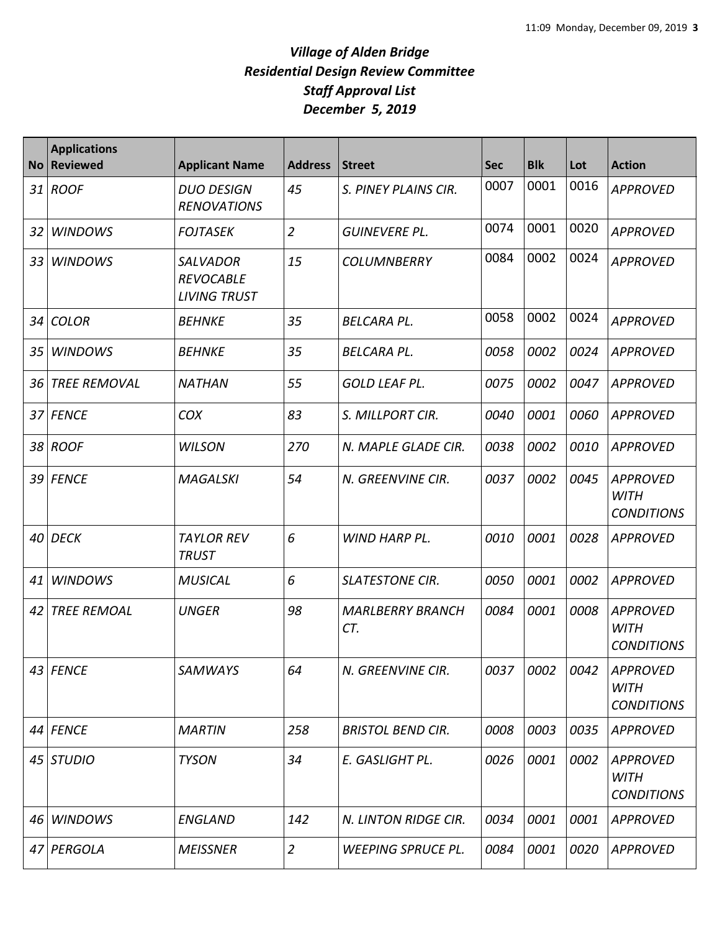| <b>No</b> | <b>Applications</b><br><b>Reviewed</b> | <b>Applicant Name</b>                                      | <b>Address</b> | <b>Street</b>                  | <b>Sec</b> | <b>Blk</b> | Lot  | <b>Action</b>                                       |
|-----------|----------------------------------------|------------------------------------------------------------|----------------|--------------------------------|------------|------------|------|-----------------------------------------------------|
| 31        | <b>ROOF</b>                            | <b>DUO DESIGN</b><br><b>RENOVATIONS</b>                    | 45             | S. PINEY PLAINS CIR.           | 0007       | 0001       | 0016 | <b>APPROVED</b>                                     |
| 32        | <b>WINDOWS</b>                         | <b>FOJTASEK</b>                                            | $\overline{2}$ | GUINEVERE PL.                  | 0074       | 0001       | 0020 | <b>APPROVED</b>                                     |
| 33        | <b>WINDOWS</b>                         | <b>SALVADOR</b><br><b>REVOCABLE</b><br><b>LIVING TRUST</b> | 15             | <b>COLUMNBERRY</b>             | 0084       | 0002       | 0024 | <b>APPROVED</b>                                     |
| 34        | <b>COLOR</b>                           | <b>BEHNKE</b>                                              | 35             | <b>BELCARA PL.</b>             | 0058       | 0002       | 0024 | <b>APPROVED</b>                                     |
| 35        | <b>WINDOWS</b>                         | <b>BEHNKE</b>                                              | 35             | <b>BELCARA PL.</b>             | 0058       | 0002       | 0024 | <b>APPROVED</b>                                     |
| 36        | <b>TREE REMOVAL</b>                    | <b>NATHAN</b>                                              | 55             | GOLD LEAF PL.                  | 0075       | 0002       | 0047 | <b>APPROVED</b>                                     |
| 37        | <b>FENCE</b>                           | COX                                                        | 83             | S. MILLPORT CIR.               | 0040       | 0001       | 0060 | <b>APPROVED</b>                                     |
| 38        | <b>ROOF</b>                            | <b>WILSON</b>                                              | 270            | N. MAPLE GLADE CIR.            | 0038       | 0002       | 0010 | <b>APPROVED</b>                                     |
| 39        | <b>FENCE</b>                           | <b>MAGALSKI</b>                                            | 54             | N. GREENVINE CIR.              | 0037       | 0002       | 0045 | <b>APPROVED</b><br><b>WITH</b><br><b>CONDITIONS</b> |
| 40        | <b>DECK</b>                            | <b>TAYLOR REV</b><br><b>TRUST</b>                          | 6              | WIND HARP PL.                  | 0010       | 0001       | 0028 | <b>APPROVED</b>                                     |
| 41        | <b>WINDOWS</b>                         | <b>MUSICAL</b>                                             | 6              | <b>SLATESTONE CIR.</b>         | 0050       | 0001       | 0002 | <b>APPROVED</b>                                     |
| 42        | <b>TREE REMOAL</b>                     | <b>UNGER</b>                                               | 98             | <b>MARLBERRY BRANCH</b><br>CT. | 0084       | 0001       | 0008 | <b>APPROVED</b><br><b>WITH</b><br><b>CONDITIONS</b> |
|           | 43 FENCE                               | SAMWAYS                                                    | 64             | N. GREENVINE CIR.              | 0037       | 0002       | 0042 | APPROVED<br><b>WITH</b><br><b>CONDITIONS</b>        |
|           | 44 FENCE                               | <b>MARTIN</b>                                              | 258            | <b>BRISTOL BEND CIR.</b>       | 0008       | 0003       | 0035 | <b>APPROVED</b>                                     |
|           | 45 STUDIO                              | <b>TYSON</b>                                               | 34             | E. GASLIGHT PL.                | 0026       | 0001       | 0002 | <b>APPROVED</b><br><b>WITH</b><br><b>CONDITIONS</b> |
| 46        | <b>WINDOWS</b>                         | <b>ENGLAND</b>                                             | 142            | N. LINTON RIDGE CIR.           | 0034       | 0001       | 0001 | <b>APPROVED</b>                                     |
| 47        | PERGOLA                                | <b>MEISSNER</b>                                            | $\overline{2}$ | <b>WEEPING SPRUCE PL.</b>      | 0084       | 0001       | 0020 | <b>APPROVED</b>                                     |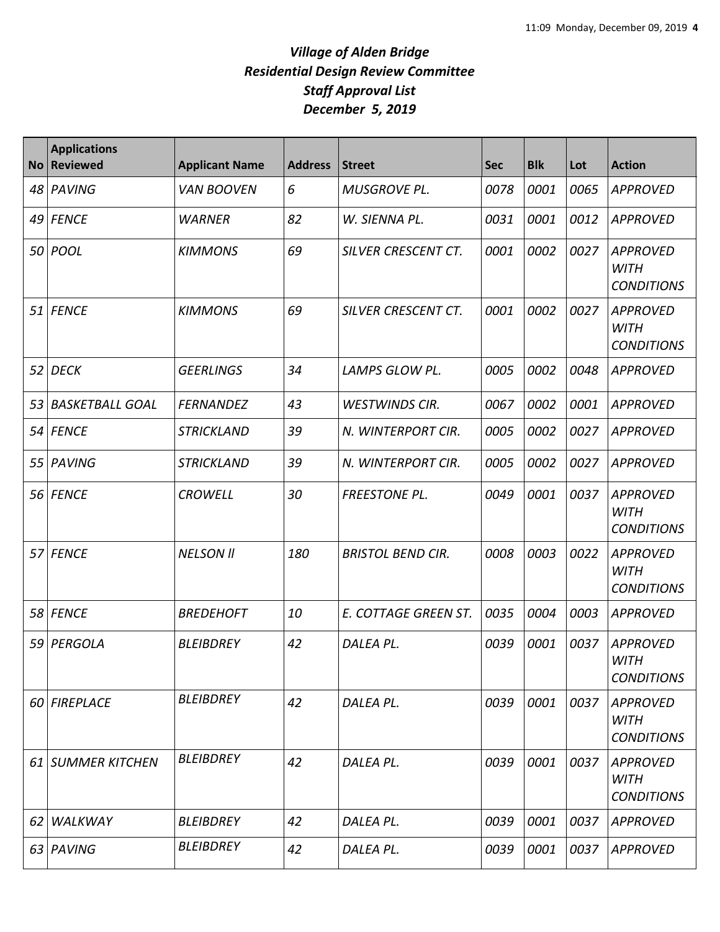|    | <b>Applications</b><br>No Reviewed | <b>Applicant Name</b> | <b>Address</b> | <b>Street</b>            | <b>Sec</b> | <b>Blk</b> | Lot  | <b>Action</b>                                       |
|----|------------------------------------|-----------------------|----------------|--------------------------|------------|------------|------|-----------------------------------------------------|
| 48 | PAVING                             | <b>VAN BOOVEN</b>     | 6              | <b>MUSGROVE PL.</b>      | 0078       | 0001       | 0065 | <b>APPROVED</b>                                     |
| 49 | <b>FENCE</b>                       | <b>WARNER</b>         | 82             | W. SIENNA PL.            | 0031       | 0001       | 0012 | <b>APPROVED</b>                                     |
|    | 50 POOL                            | <b>KIMMONS</b>        | 69             | SILVER CRESCENT CT.      | 0001       | 0002       | 0027 | <b>APPROVED</b><br><b>WITH</b><br><b>CONDITIONS</b> |
| 51 | <b>FENCE</b>                       | <b>KIMMONS</b>        | 69             | SILVER CRESCENT CT.      | 0001       | 0002       | 0027 | <b>APPROVED</b><br><b>WITH</b><br><b>CONDITIONS</b> |
| 52 | <b>DECK</b>                        | <b>GEERLINGS</b>      | 34             | LAMPS GLOW PL.           | 0005       | 0002       | 0048 | <b>APPROVED</b>                                     |
| 53 | <b>BASKETBALL GOAL</b>             | <b>FERNANDEZ</b>      | 43             | <b>WESTWINDS CIR.</b>    | 0067       | 0002       | 0001 | <b>APPROVED</b>                                     |
|    | 54 FENCE                           | <b>STRICKLAND</b>     | 39             | N. WINTERPORT CIR.       | 0005       | 0002       | 0027 | <b>APPROVED</b>                                     |
| 55 | PAVING                             | <b>STRICKLAND</b>     | 39             | N. WINTERPORT CIR.       | 0005       | 0002       | 0027 | <b>APPROVED</b>                                     |
|    | 56 FENCE                           | <b>CROWELL</b>        | 30             | <b>FREESTONE PL.</b>     | 0049       | 0001       | 0037 | <b>APPROVED</b><br><b>WITH</b><br><b>CONDITIONS</b> |
|    | 57 FENCE                           | <b>NELSON II</b>      | 180            | <b>BRISTOL BEND CIR.</b> | 0008       | 0003       | 0022 | <b>APPROVED</b><br><b>WITH</b><br><b>CONDITIONS</b> |
|    | 58 FENCE                           | <b>BREDEHOFT</b>      | 10             | E. COTTAGE GREEN ST.     | 0035       | 0004       | 0003 | <b>APPROVED</b>                                     |
|    | 59 PERGOLA                         | <b>BLEIBDREY</b>      | 42             | DALEA PL.                | 0039       | 0001       | 0037 | <b>APPROVED</b><br><b>WITH</b><br><b>CONDITIONS</b> |
|    | 60 FIREPLACE                       | <b>BLEIBDREY</b>      | 42             | DALEA PL.                | 0039       | 0001       | 0037 | <b>APPROVED</b><br><b>WITH</b><br><b>CONDITIONS</b> |
|    | 61 SUMMER KITCHEN                  | <b>BLEIBDREY</b>      | 42             | DALEA PL.                | 0039       | 0001       | 0037 | APPROVED<br><b>WITH</b><br><b>CONDITIONS</b>        |
| 62 | WALKWAY                            | <b>BLEIBDREY</b>      | 42             | DALEA PL.                | 0039       | 0001       | 0037 | <b>APPROVED</b>                                     |
|    | 63 PAVING                          | <b>BLEIBDREY</b>      | 42             | DALEA PL.                | 0039       | 0001       | 0037 | <b>APPROVED</b>                                     |